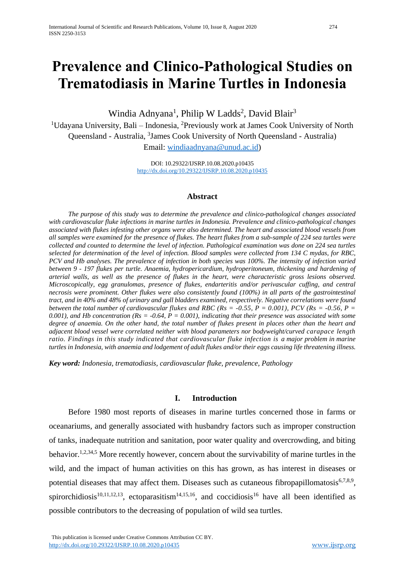# **Prevalence and Clinico-Pathological Studies on Trematodiasis in Marine Turtles in Indonesia**

Windia Adnyana<sup>1</sup>, Philip W Ladds<sup>2</sup>, David Blair<sup>3</sup>

<sup>1</sup>Udayana University, Bali – Indonesia, <sup>2</sup>Previously work at James Cook University of North Queensland - Australia, <sup>3</sup>James Cook University of North Queensland - Australia) Email: [windiaadnyana@unud.ac.id\)](mailto:windiaadnyana@unud.ac.id)

> DOI: 10.29322/IJSRP.10.08.2020.p10435 <http://dx.doi.org/10.29322/IJSRP.10.08.2020.p10435>

#### **Abstract**

*The purpose of this study was to determine the prevalence and clinico-pathological changes associated with cardiovascular fluke infections in marine turtles in Indonesia. Prevalence and clinico-pathological changes associated with flukes infesting other organs were also determined. The heart and associated blood vessels from all samples were examined for the presence of flukes. The heart flukes from a sub-sample of 224 sea turtles were collected and counted to determine the level of infection. Pathological examination was done on 224 sea turtles selected for determination of the level of infection. Blood samples were collected from 134 C mydas, for RBC, PCV and Hb analyses. The prevalence of infection in both species was 100%. The intensity of infection varied between 9 - 197 flukes per turtle. Anaemia, hydropericardium, hydroperitoneum, thickening and hardening of arterial walls, as well as the presence of flukes in the heart, were characteristic gross lesions observed. Microscopically, egg granulomas, presence of flukes, endarteritis and/or perivascular cuffing, and central necrosis were prominent. Other flukes were also consistently found (100%) in all parts of the gastrointestinal tract, and in 40% and 48% of urinary and gall bladders examined, respectively. Negative correlations were found between the total number of cardiovascular flukes and RBC (Rs = -0.55, P = 0.001), PCV (Rs = -0.56, P =*  $\frac{1}{2}$ *0.001), and Hb concentration (Rs = -0.64, P = 0.001), indicating that their presence was associated with some degree of anaemia. On the other hand, the total number of flukes present in places other than the heart and adjacent blood vessel were correlated neither with blood parameters nor bodyweight/curved carapace length ratio. Findings in this study indicated that cardiovascular fluke infection is a major problem in marine turtles in Indonesia, with anaemia and lodgement of adult flukes and/or their eggs causing life threatening illness.*

*Key word: Indonesia, trematodiasis, cardiovascular fluke, prevalence, Pathology*

#### **I. Introduction**

Before 1980 most reports of diseases in marine turtles concerned those in farms or oceanariums, and generally associated with husbandry factors such as improper construction of tanks, inadequate nutrition and sanitation, poor water quality and overcrowding, and biting behavior.<sup>1,2,34,5</sup> More recently however, concern about the survivability of marine turtles in the wild, and the impact of human activities on this has grown, as has interest in diseases or potential diseases that may affect them. Diseases such as cutaneous fibropapillomatosis $67,8,9$ , spirorchidiosis<sup>10,11,12,13</sup>, ectoparasitism<sup>14,15,16</sup>, and coccidiosis<sup>16</sup> have all been identified as possible contributors to the decreasing of population of wild sea turtles.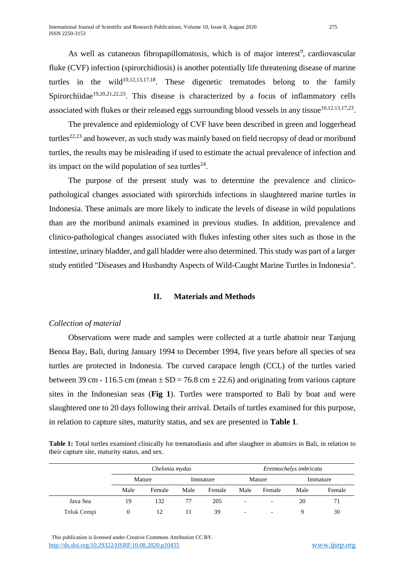As well as cutaneous fibropapillomatosis, which is of major interest<sup>9</sup>, cardiovascular fluke (CVF) infection (spirorchidiosis) is another potentially life threatening disease of marine turtles in the wild $10,12,13,17,18$ . These digenetic trematodes belong to the family Spirorchiidae<sup>19,20,21,22,23</sup>. This disease is characterized by a focus of inflammatory cells associated with flukes or their released eggs surrounding blood vessels in any tissue $10,12,13,17,23$ .

The prevalence and epidemiology of CVF have been described in green and loggerhead turtles<sup>22,23</sup> and however, as such study was mainly based on field necropsy of dead or moribund turtles, the results may be misleading if used to estimate the actual prevalence of infection and its impact on the wild population of sea turtles<sup>24</sup>.

The purpose of the present study was to determine the prevalence and clinicopathological changes associated with spirorchids infections in slaughtered marine turtles in Indonesia. These animals are more likely to indicate the levels of disease in wild populations than are the moribund animals examined in previous studies. In addition, prevalence and clinico-pathological changes associated with flukes infesting other sites such as those in the intestine, urinary bladder, and gall bladder were also determined. This study was part of a larger study entitled "Diseases and Husbandty Aspects of Wild-Caught Marine Turtles in Indonesia".

#### **II. Materials and Methods**

## *Collection of material*

Observations were made and samples were collected at a turtle abattoir near Tanjung Benoa Bay, Bali, during January 1994 to December 1994, five years before all species of sea turtles are protected in Indonesia. The curved carapace length (CCL) of the turtles varied between 39 cm - 116.5 cm (mean  $\pm$  SD = 76.8 cm  $\pm$  22.6) and originating from various capture sites in the Indonesian seas (**Fig 1**). Turtles were transported to Bali by boat and were slaughtered one to 20 days following their arrival. Details of turtles examined for this purpose, in relation to capture sites, maturity status, and sex are presented in **Table 1**.

**Table 1:** Total turtles examined clinically for trematodiasis and after slaughter in abattoirs in Bali, in relation to their capture site, maturity status, and sex.

|             | Chelonia mydas |        |      |          |                          | Eretmochelys imbricata   |      |          |
|-------------|----------------|--------|------|----------|--------------------------|--------------------------|------|----------|
|             |                | Mature |      | Immature |                          | Mature                   |      | Immature |
|             | Male           | Female | Male | Female   | Male                     | Female                   | Male | Female   |
| Java Sea    | 19             | 132    | 77   | 205      | $\overline{\phantom{0}}$ | $\overline{\phantom{a}}$ | 20   | 71       |
| Teluk Cempi |                |        |      | 39       | $\overline{\phantom{a}}$ | $\overline{\phantom{0}}$ |      | 30       |

 This publication is licensed under Creative Commons Attribution CC BY. <http://dx.doi.org/10.29322/IJSRP.10.08.2020.p10435> [www.ijsrp.org](http://ijsrp.org/)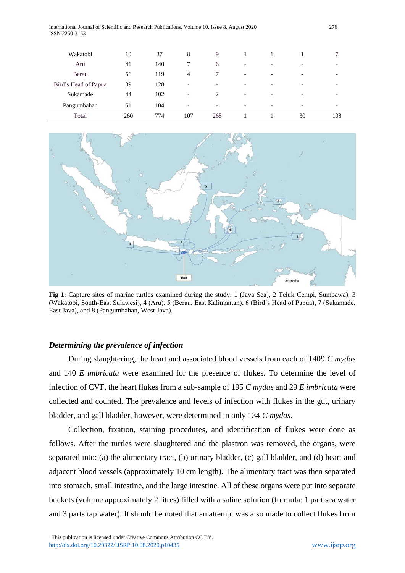| International Journal of Scientific and Research Publications, Volume 10, Issue 8, August 2020 | 276 |
|------------------------------------------------------------------------------------------------|-----|
| ISSN 2250-3153                                                                                 |     |

| Wakatobi             | 10  | 37  | 8                        | 9                        |                          |                          |                          |     |
|----------------------|-----|-----|--------------------------|--------------------------|--------------------------|--------------------------|--------------------------|-----|
| Aru                  | 41  | 140 | 7                        | 6                        | $\overline{\phantom{a}}$ | $\overline{\phantom{0}}$ | $\overline{\phantom{0}}$ |     |
| Berau                | 56  | 119 | 4                        |                          | $\overline{\phantom{a}}$ | $\overline{\phantom{0}}$ | $\overline{\phantom{0}}$ |     |
| Bird's Head of Papua | 39  | 128 | $\overline{\phantom{a}}$ | $\overline{\phantom{0}}$ | -                        |                          | $\overline{\phantom{0}}$ |     |
| Sukamade             | 44  | 102 | $\overline{\phantom{a}}$ | 2                        | $\overline{\phantom{0}}$ |                          | $\overline{\phantom{0}}$ |     |
| Pangumbahan          | 51  | 104 | $\overline{\phantom{a}}$ | $\overline{\phantom{a}}$ | $\overline{\phantom{a}}$ | $\overline{\phantom{0}}$ | $\overline{\phantom{a}}$ |     |
| Total                | 260 | 774 | 107                      | 268                      |                          |                          | 30                       | 108 |



**Fig 1**: Capture sites of marine turtles examined during the study. 1 (Java Sea), 2 Teluk Cempi, Sumbawa), 3 (Wakatobi, South-East Sulawesi), 4 (Aru), 5 (Berau, East Kalimantan), 6 (Bird's Head of Papua), 7 (Sukamade, East Java), and 8 (Pangumbahan, West Java).

#### *Determining the prevalence of infection*

During slaughtering, the heart and associated blood vessels from each of 1409 *C mydas* and 140 *E imbricata* were examined for the presence of flukes. To determine the level of infection of CVF, the heart flukes from a sub-sample of 195 *C mydas* and 29 *E imbricata* were collected and counted. The prevalence and levels of infection with flukes in the gut, urinary bladder, and gall bladder, however, were determined in only 134 *C mydas*.

Collection, fixation, staining procedures, and identification of flukes were done as follows. After the turtles were slaughtered and the plastron was removed, the organs, were separated into: (a) the alimentary tract, (b) urinary bladder, (c) gall bladder, and (d) heart and adjacent blood vessels (approximately 10 cm length). The alimentary tract was then separated into stomach, small intestine, and the large intestine. All of these organs were put into separate buckets (volume approximately 2 litres) filled with a saline solution (formula: 1 part sea water and 3 parts tap water). It should be noted that an attempt was also made to collect flukes from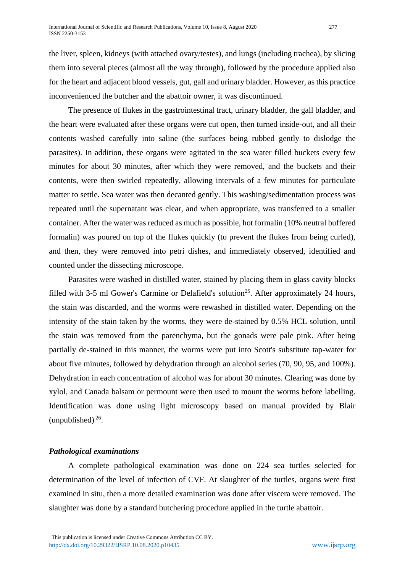the liver, spleen, kidneys (with attached ovary/testes), and lungs (including trachea), by slicing them into several pieces (almost all the way through), followed by the procedure applied also for the heart and adjacent blood vessels, gut, gall and urinary bladder. However, as this practice inconvenienced the butcher and the abattoir owner, it was discontinued.

The presence of flukes in the gastrointestinal tract, urinary bladder, the gall bladder, and the heart were evaluated after these organs were cut open, then turned inside-out, and all their contents washed carefully into saline (the surfaces being rubbed gently to dislodge the parasites). In addition, these organs were agitated in the sea water filled buckets every few minutes for about 30 minutes, after which they were removed, and the buckets and their contents, were then swirled repeatedly, allowing intervals of a few minutes for particulate matter to settle. Sea water was then decanted gently. This washing/sedimentation process was repeated until the supernatant was clear, and when appropriate, was transferred to a smaller container. After the water was reduced as much as possible, hot formalin (10% neutral buffered formalin) was poured on top of the flukes quickly (to prevent the flukes from being curled), and then, they were removed into petri dishes, and immediately observed, identified and counted under the dissecting microscope.

Parasites were washed in distilled water, stained by placing them in glass cavity blocks filled with 3-5 ml Gower's Carmine or Delafield's solution<sup>25</sup>. After approximately 24 hours, the stain was discarded, and the worms were rewashed in distilled water. Depending on the intensity of the stain taken by the worms, they were de-stained by 0.5% HCL solution, until the stain was removed from the parenchyma, but the gonads were pale pink. After being partially de-stained in this manner, the worms were put into Scott's substitute tap-water for about five minutes, followed by dehydration through an alcohol series (70, 90, 95, and 100%). Dehydration in each concentration of alcohol was for about 30 minutes. Clearing was done by xylol, and Canada balsam or permount were then used to mount the worms before labelling. Identification was done using light microscopy based on manual provided by Blair (unpublished)  $^{26}$ .

## *Pathological examinations*

A complete pathological examination was done on 224 sea turtles selected for determination of the level of infection of CVF. At slaughter of the turtles, organs were first examined in situ, then a more detailed examination was done after viscera were removed. The slaughter was done by a standard butchering procedure applied in the turtle abattoir.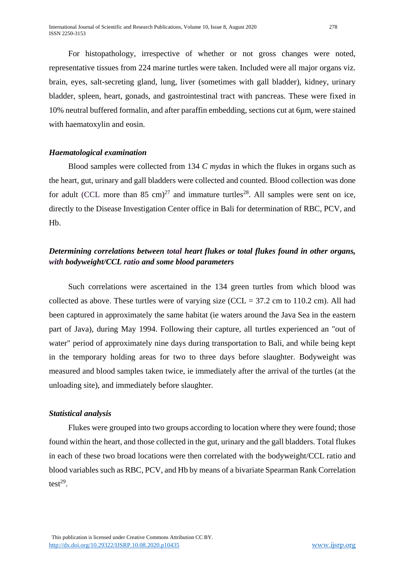For histopathology, irrespective of whether or not gross changes were noted, representative tissues from 224 marine turtles were taken. Included were all major organs viz. brain, eyes, salt-secreting gland, lung, liver (sometimes with gall bladder), kidney, urinary bladder, spleen, heart, gonads, and gastrointestinal tract with pancreas. These were fixed in 10% neutral buffered formalin, and after paraffin embedding, sections cut at 6µm, were stained with haematoxylin and eosin.

#### *Haematological examination*

Blood samples were collected from 134 *C mydas* in which the flukes in organs such as the heart, gut, urinary and gall bladders were collected and counted. Blood collection was done for adult (CCL more than 85 cm)<sup>27</sup> and immature turtles<sup>28</sup>. All samples were sent on ice, directly to the Disease Investigation Center office in Bali for determination of RBC, PCV, and Hb.

# *Determining correlations between total heart flukes or total flukes found in other organs, with bodyweight/CCL ratio and some blood parameters*

Such correlations were ascertained in the 134 green turtles from which blood was collected as above. These turtles were of varying size (CCL =  $37.2$  cm to 110.2 cm). All had been captured in approximately the same habitat (ie waters around the Java Sea in the eastern part of Java), during May 1994. Following their capture, all turtles experienced an "out of water" period of approximately nine days during transportation to Bali, and while being kept in the temporary holding areas for two to three days before slaughter. Bodyweight was measured and blood samples taken twice, ie immediately after the arrival of the turtles (at the unloading site), and immediately before slaughter.

#### *Statistical analysis*

Flukes were grouped into two groups according to location where they were found; those found within the heart, and those collected in the gut, urinary and the gall bladders. Total flukes in each of these two broad locations were then correlated with the bodyweight/CCL ratio and blood variables such as RBC, PCV, and Hb by means of a bivariate Spearman Rank Correlation test<sup>29</sup>.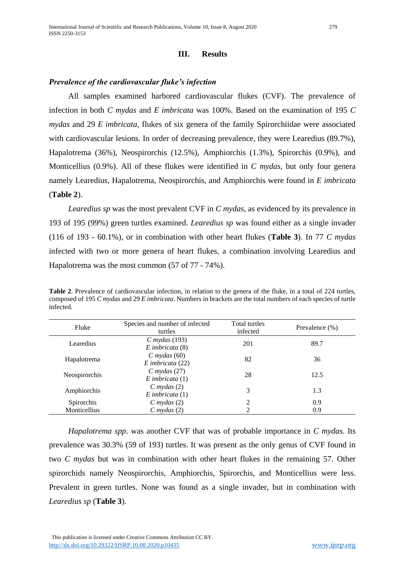## **III. Results**

## *Prevalence of the cardiovascular fluke's infection*

All samples examined harbored cardiovascular flukes (CVF). The prevalence of infection in both *C mydas* and *E imbricata* was 100%. Based on the examination of 195 *C mydas* and 29 *E imbricata*, flukes of six genera of the family Spirorchiidae were associated with cardiovascular lesions. In order of decreasing prevalence, they were Learedius (89.7%), Hapalotrema (36%), Neospirorchis (12.5%), Amphiorchis (1.3%), Spirorchis (0.9%), and Monticellius (0.9%). All of these flukes were identified in *C mydas*, but only four genera namely Learedius, Hapalotrema, Neospirorchis, and Amphiorchis were found in *E imbricata* (**Table 2**).

*Learedius sp* was the most prevalent CVF in *C mydas*, as evidenced by its prevalence in 193 of 195 (99%) green turtles examined. *Learedius sp* was found either as a single invader (116 of 193 - 60.1%), or in combination with other heart flukes (**Table 3**). In 77 *C mydas* infected with two or more genera of heart flukes, a combination involving Learedius and Hapalotrema was the most common (57 of 77 - 74%).

**Table 2**. Prevalence of cardiovascular infection, in relation to the genera of the fluke, in a total of 224 turtles, composed of 195 *C mydas* and 29 *E imbricata*. Numbers in brackets are the total numbers of each species of turtle infected.

| Fluke                | Species and number of infected<br>turtles | Total turtles<br>infected | Prevalence $(\% )$ |
|----------------------|-------------------------------------------|---------------------------|--------------------|
| Learedius            | $C$ mydas (193)<br>$E$ imbricata $(8)$    | 201                       | 89.7               |
| Hapalotrema          | $C$ mydas (60)<br>$E$ imbricata (22)      | 82                        | 36                 |
| <b>Neospirorchis</b> | $C$ mydas (27)<br>$E$ imbricata $(1)$     | 28                        | 12.5               |
| Amphiorchis          | $C$ mydas $(2)$<br>$E$ imbricata $(1)$    | 3                         | 1.3                |
| <b>Spirorchis</b>    | $C$ mydas $(2)$                           | 2                         | 0.9                |
| Monticellius         | $C$ mydas $(2)$                           | റ                         | 0.9                |

*Hapalotrema spp*. was another CVF that was of probable importance in *C mydas*. Its prevalence was 30.3% (59 of 193) turtles. It was present as the only genus of CVF found in two *C mydas* but was in combination with other heart flukes in the remaining 57. Other spirorchids namely Neospirorchis, Amphiorchis, Spirorchis, and Monticellius were less. Prevalent in green turtles. None was found as a single invader, but in combination with *Learedius sp* (**Table 3**).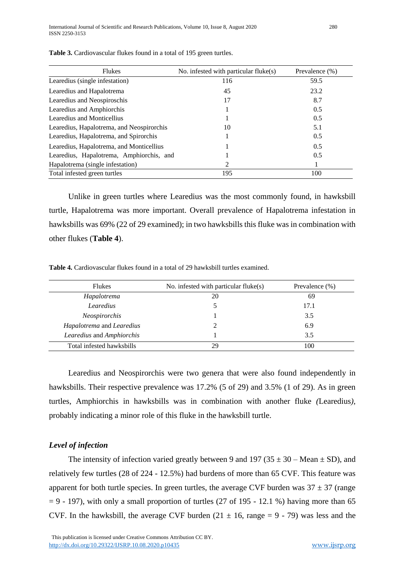| <b>Flukes</b>                             | No. infested with particular fluke(s) | Prevalence (%) |
|-------------------------------------------|---------------------------------------|----------------|
| Learedius (single infestation)            | 116                                   | 59.5           |
| Learedius and Hapalotrema                 | 45                                    | 23.2           |
| Learedius and Neospiroschis               | 17                                    | 8.7            |
| Learedius and Amphiorchis                 |                                       | 0.5            |
| Learedius and Monticellius                |                                       | 0.5            |
| Learedius, Hapalotrema, and Neospirorchis | 10                                    | 5.1            |
| Learedius, Hapalotrema, and Spirorchis    |                                       | 0.5            |
| Learedius, Hapalotrema, and Monticellius  |                                       | 0.5            |
| Learedius, Hapalotrema, Amphiorchis, and  |                                       | 0.5            |
| Hapalotrema (single infestation)          | 2                                     |                |
| Total infested green turtles              | 195                                   | 100            |

**Table 3.** Cardiovascular flukes found in a total of 195 green turtles.

Unlike in green turtles where Learedius was the most commonly found, in hawksbill turtle, Hapalotrema was more important. Overall prevalence of Hapalotrema infestation in hawksbills was 69% (22 of 29 examined); in two hawksbills this fluke was in combination with other flukes (**Table 4**).

**Table 4.** Cardiovascular flukes found in a total of 29 hawksbill turtles examined.

| <b>Flukes</b>             | No. infested with particular fluke(s) | Prevalence $(\%)$ |
|---------------------------|---------------------------------------|-------------------|
| Hapalotrema               | 20                                    | 69                |
| Learedius                 |                                       | 17.1              |
| <b>Neospirorchis</b>      |                                       | 3.5               |
| Hapalotrema and Learedius |                                       | 6.9               |
| Learedius and Amphiorchis |                                       | 3.5               |
| Total infested hawksbills | 29                                    | 100               |

Learedius and Neospirorchis were two genera that were also found independently in hawksbills. Their respective prevalence was 17.2% (5 of 29) and 3.5% (1 of 29). As in green turtles, Amphiorchis in hawksbills was in combination with another fluke *(*Learedius*),*  probably indicating a minor role of this fluke in the hawksbill turtle.

#### *Level of infection*

The intensity of infection varied greatly between 9 and 197 (35  $\pm$  30 – Mean  $\pm$  SD), and relatively few turtles (28 of 224 - 12.5%) had burdens of more than 65 CVF. This feature was apparent for both turtle species. In green turtles, the average CVF burden was  $37 \pm 37$  (range  $= 9 - 197$ ), with only a small proportion of turtles (27 of 195 - 12.1 %) having more than 65 CVF. In the hawksbill, the average CVF burden  $(21 \pm 16, \text{ range} = 9 - 79)$  was less and the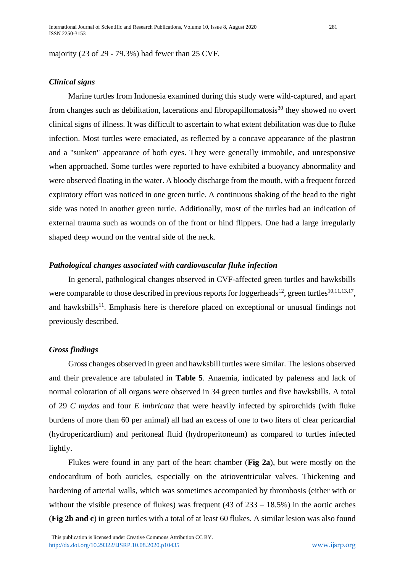majority (23 of 29 - 79.3%) had fewer than 25 CVF.

#### *Clinical signs*

Marine turtles from Indonesia examined during this study were wild-captured, and apart from changes such as debilitation, lacerations and fibropapillomatosis<sup>30</sup> they showed no overt clinical signs of illness. It was difficult to ascertain to what extent debilitation was due to fluke infection. Most turtles were emaciated, as reflected by a concave appearance of the plastron and a "sunken" appearance of both eyes. They were generally immobile, and unresponsive when approached. Some turtles were reported to have exhibited a buoyancy abnormality and were observed floating in the water. A bloody discharge from the mouth, with a frequent forced expiratory effort was noticed in one green turtle. A continuous shaking of the head to the right side was noted in another green turtle. Additionally, most of the turtles had an indication of external trauma such as wounds on of the front or hind flippers. One had a large irregularly shaped deep wound on the ventral side of the neck.

#### *Pathological changes associated with cardiovascular fluke infection*

In general, pathological changes observed in CVF-affected green turtles and hawksbills were comparable to those described in previous reports for loggerheads<sup>12</sup>, green turtles<sup>10,11,13,17</sup>, and hawksbills<sup>11</sup>. Emphasis here is therefore placed on exceptional or unusual findings not previously described.

#### *Gross findings*

Gross changes observed in green and hawksbill turtles were similar. The lesions observed and their prevalence are tabulated in **Table 5**. Anaemia, indicated by paleness and lack of normal coloration of all organs were observed in 34 green turtles and five hawksbills. A total of 29 *C mydas* and four *E imbricata* that were heavily infected by spirorchids (with fluke burdens of more than 60 per animal) all had an excess of one to two liters of clear pericardial (hydropericardium) and peritoneal fluid (hydroperitoneum) as compared to turtles infected lightly.

Flukes were found in any part of the heart chamber (**Fig 2a**), but were mostly on the endocardium of both auricles, especially on the atrioventricular valves. Thickening and hardening of arterial walls, which was sometimes accompanied by thrombosis (either with or without the visible presence of flukes) was frequent (43 of  $233 - 18.5\%$ ) in the aortic arches (**Fig 2b and c**) in green turtles with a total of at least 60 flukes. A similar lesion was also found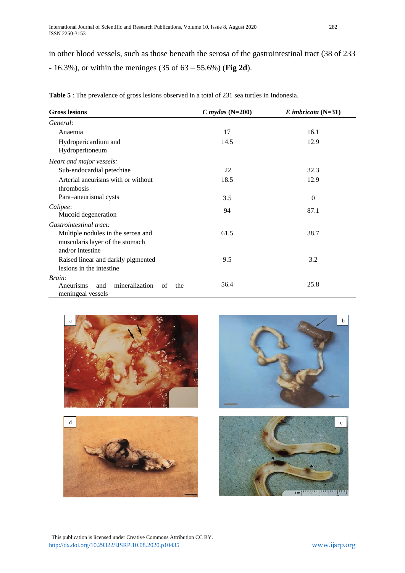in other blood vessels, such as those beneath the serosa of the gastrointestinal tract (38 of 233 - 16.3%), or within the meninges (35 of 63 – 55.6%) (**Fig 2d**).

| <b>Gross lesions</b>                               | $C$ mydas (N=200) | $E$ imbricata (N=31) |
|----------------------------------------------------|-------------------|----------------------|
| General:                                           |                   |                      |
| Anaemia                                            | 17                | 16.1                 |
| Hydropericardium and                               | 14.5              | 12.9                 |
| Hydroperitoneum                                    |                   |                      |
| Heart and major vessels:                           |                   |                      |
| Sub-endocardial petechiae                          | 22                | 32.3                 |
| Arterial aneurisms with or without                 | 18.5              | 12.9                 |
| thrombosis                                         |                   |                      |
| Para-aneurismal cysts                              | 3.5               | $\theta$             |
| Calipee:                                           | 94                | 87.1                 |
| Mucoid degeneration                                |                   |                      |
| Gastrointestinal tract:                            |                   |                      |
| Multiple nodules in the serosa and                 | 61.5              | 38.7                 |
| muscularis layer of the stomach                    |                   |                      |
| and/or intestine                                   |                   |                      |
| Raised linear and darkly pigmented                 | 9.5               | 3.2                  |
| lesions in the intestine                           |                   |                      |
| Brain:<br>mineralization<br>Aneurisms<br>and<br>of | 56.4              | 25.8                 |
| the<br>meningeal vessels                           |                   |                      |

**Table 5** : The prevalence of gross lesions observed in a total of 231 sea turtles in Indonesia.









 This publication is licensed under Creative Commons Attribution CC BY. <http://dx.doi.org/10.29322/IJSRP.10.08.2020.p10435> [www.ijsrp.org](http://ijsrp.org/)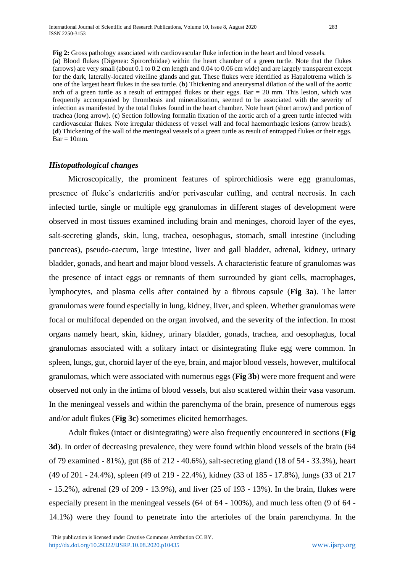**Fig 2:** Gross pathology associated with cardiovascular fluke infection in the heart and blood vessels. (**a**) Blood flukes (Digenea: Spirorchiidae) within the heart chamber of a green turtle. Note that the flukes (arrows) are very small (about 0.1 to 0.2 cm length and 0.04 to 0.06 cm wide) and are largely transparent except for the dark, laterally-located vitelline glands and gut. These flukes were identified as Hapalotrema which is one of the largest heart flukes in the sea turtle. (**b**) Thickening and aneurysmal dilation of the wall of the aortic arch of a green turtle as a result of entrapped flukes or their eggs. Bar  $= 20$  mm. This lesion, which was frequently accompanied by thrombosis and mineralization, seemed to be associated with the severity of infection as manifested by the total flukes found in the heart chamber. Note heart (short arrow) and portion of trachea (long arrow). (**c**) Section following formalin fixation of the aortic arch of a green turtle infected with cardiovascular flukes. Note irregular thickness of vessel wall and focal haemorrhagic lesions (arrow heads). (**d**) Thickening of the wall of the meningeal vessels of a green turtle as result of entrapped flukes or their eggs.  $Bar = 10$ mm.

#### *Histopathological changes*

Microscopically, the prominent features of spirorchidiosis were egg granulomas, presence of fluke's endarteritis and/or perivascular cuffing, and central necrosis. In each infected turtle, single or multiple egg granulomas in different stages of development were observed in most tissues examined including brain and meninges, choroid layer of the eyes, salt-secreting glands, skin, lung, trachea, oesophagus, stomach, small intestine (including pancreas), pseudo-caecum, large intestine, liver and gall bladder, adrenal, kidney, urinary bladder, gonads, and heart and major blood vessels. A characteristic feature of granulomas was the presence of intact eggs or remnants of them surrounded by giant cells, macrophages, lymphocytes, and plasma cells after contained by a fibrous capsule (**Fig 3a**). The latter granulomas were found especially in lung, kidney, liver, and spleen. Whether granulomas were focal or multifocal depended on the organ involved, and the severity of the infection. In most organs namely heart, skin, kidney, urinary bladder, gonads, trachea, and oesophagus, focal granulomas associated with a solitary intact or disintegrating fluke egg were common. In spleen, lungs, gut, choroid layer of the eye, brain, and major blood vessels, however, multifocal granulomas, which were associated with numerous eggs (**Fig 3b**) were more frequent and were observed not only in the intima of blood vessels, but also scattered within their vasa vasorum. In the meningeal vessels and within the parenchyma of the brain, presence of numerous eggs and/or adult flukes (**Fig 3c**) sometimes elicited hemorrhages.

Adult flukes (intact or disintegrating) were also frequently encountered in sections (**Fig 3d**). In order of decreasing prevalence, they were found within blood vessels of the brain (64 of 79 examined - 81%), gut (86 of 212 - 40.6%), salt-secreting gland (18 of 54 - 33.3%), heart (49 of 201 - 24.4%), spleen (49 of 219 - 22.4%), kidney (33 of 185 - 17.8%), lungs (33 of 217 - 15.2%), adrenal (29 of 209 - 13.9%), and liver (25 of 193 - 13%). In the brain, flukes were especially present in the meningeal vessels (64 of 64 - 100%), and much less often (9 of 64 - 14.1%) were they found to penetrate into the arterioles of the brain parenchyma. In the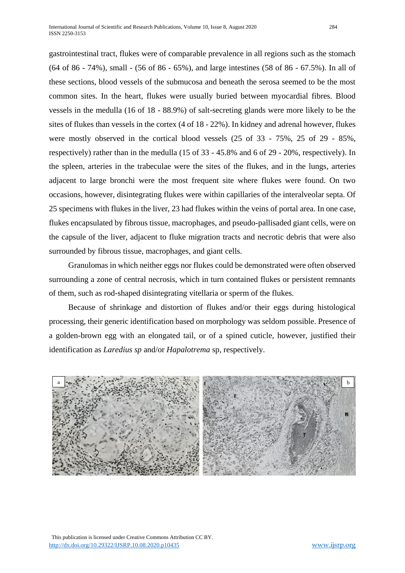gastrointestinal tract, flukes were of comparable prevalence in all regions such as the stomach (64 of 86 - 74%), small - (56 of 86 - 65%), and large intestines (58 of 86 - 67.5%). In all of these sections, blood vessels of the submucosa and beneath the serosa seemed to be the most common sites. In the heart, flukes were usually buried between myocardial fibres. Blood vessels in the medulla (16 of 18 - 88.9%) of salt-secreting glands were more likely to be the sites of flukes than vessels in the cortex (4 of 18 - 22%). In kidney and adrenal however, flukes were mostly observed in the cortical blood vessels (25 of 33 - 75%, 25 of 29 - 85%, respectively) rather than in the medulla (15 of 33 - 45.8% and 6 of 29 - 20%, respectively). In the spleen, arteries in the trabeculae were the sites of the flukes, and in the lungs, arteries adjacent to large bronchi were the most frequent site where flukes were found. On two occasions, however, disintegrating flukes were within capillaries of the interalveolar septa. Of 25 specimens with flukes in the liver, 23 had flukes within the veins of portal area. In one case, flukes encapsulated by fibrous tissue, macrophages, and pseudo-pallisaded giant cells, were on the capsule of the liver, adjacent to fluke migration tracts and necrotic debris that were also surrounded by fibrous tissue, macrophages, and giant cells.

Granulomas in which neither eggs nor flukes could be demonstrated were often observed surrounding a zone of central necrosis, which in turn contained flukes or persistent remnants of them, such as rod-shaped disintegrating vitellaria or sperm of the flukes.

Because of shrinkage and distortion of flukes and/or their eggs during histological processing, their generic identification based on morphology was seldom possible. Presence of a golden-brown egg with an elongated tail, or of a spined cuticle, however, justified their identification as *Laredius sp* and/or *Hapalotrema* sp, respectively.



 This publication is licensed under Creative Commons Attribution CC BY. <http://dx.doi.org/10.29322/IJSRP.10.08.2020.p10435> [www.ijsrp.org](http://ijsrp.org/)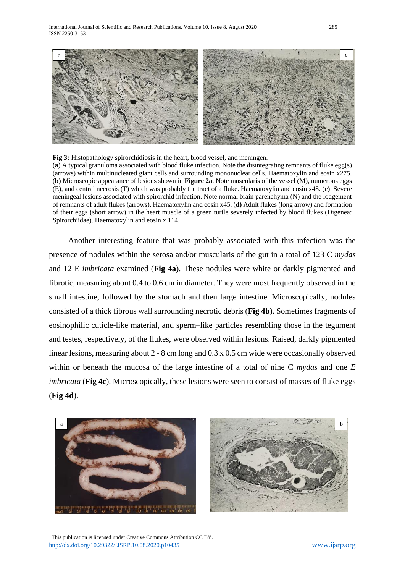

**Fig 3:** Histopathology spirorchidiosis in the heart, blood vessel, and meningen. (**a**) A typical granuloma associated with blood fluke infection. Note the disintegrating remnants of fluke egg(s) (arrows) within multinucleated giant cells and surrounding mononuclear cells. Haematoxylin and eosin x275. (**b)** Microscopic appearance of lesions shown in **Figure 2a**. Note muscularis of the vessel (M), numerous eggs (E), and central necrosis (T) which was probably the tract of a fluke. Haematoxylin and eosin x48. (**c)** Severe meningeal lesions associated with spirorchid infection. Note normal brain parenchyma (N) and the lodgement of remnants of adult flukes (arrows). Haematoxylin and eosin x45. (**d)** Adult flukes (long arrow) and formation of their eggs (short arrow) in the heart muscle of a green turtle severely infected by blood flukes (Digenea: Spirorchiidae). Haematoxylin and eosin x 114.

Another interesting feature that was probably associated with this infection was the presence of nodules within the serosa and/or muscularis of the gut in a total of 123 C *mydas*  and 12 E *imbricata* examined (**Fig 4a**). These nodules were white or darkly pigmented and fibrotic, measuring about 0.4 to 0.6 cm in diameter. They were most frequently observed in the small intestine, followed by the stomach and then large intestine. Microscopically, nodules consisted of a thick fibrous wall surrounding necrotic debris (**Fig 4b**). Sometimes fragments of eosinophilic cuticle-like material, and sperm–like particles resembling those in the tegument and testes, respectively, of the flukes, were observed within lesions. Raised, darkly pigmented linear lesions, measuring about 2 - 8 cm long and 0.3 x 0.5 cm wide were occasionally observed within or beneath the mucosa of the large intestine of a total of nine C *mydas* and one *E imbricata* (**Fig 4c**). Microscopically, these lesions were seen to consist of masses of fluke eggs (**Fig 4d**).





 This publication is licensed under Creative Commons Attribution CC BY. <http://dx.doi.org/10.29322/IJSRP.10.08.2020.p10435> [www.ijsrp.org](http://ijsrp.org/)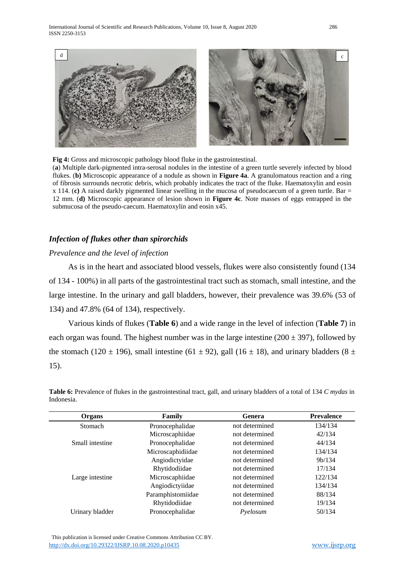International Journal of Scientific and Research Publications, Volume 10, Issue 8, August 2020 286 ISSN 2250-3153





**Fig 4:** Gross and microscopic pathology blood fluke in the gastrointestinal.

(**a**) Multiple dark-pigmented intra-serosal nodules in the intestine of a green turtle severely infected by blood flukes. (**b)** Microscopic appearance of a nodule as shown in **Figure 4a**. A granulomatous reaction and a ring of fibrosis surrounds necrotic debris, which probably indicates the tract of the fluke. Haematoxylin and eosin x 114. (**c)** A raised darkly pigmented linear swelling in the mucosa of pseudocaecum of a green turtle. Bar = 12 mm. (**d)** Microscopic appearance of lesion shown in **Figure 4c**. Note masses of eggs entrapped in the submucosa of the pseudo-caecum. Haematoxylin and eosin x45.

#### *Infection of flukes other than spirorchids*

#### *Prevalence and the level of infection*

As is in the heart and associated blood vessels, flukes were also consistently found (134 of 134 - 100%) in all parts of the gastrointestinal tract such as stomach, small intestine, and the large intestine. In the urinary and gall bladders, however, their prevalence was 39.6% (53 of 134) and 47.8% (64 of 134), respectively.

Various kinds of flukes (**Table 6**) and a wide range in the level of infection (**Table 7**) in each organ was found. The highest number was in the large intestine  $(200 \pm 397)$ , followed by the stomach (120  $\pm$  196), small intestine (61  $\pm$  92), gall (16  $\pm$  18), and urinary bladders (8  $\pm$ 15).

| Organs          | Family            | Genera         | <b>Prevalence</b>   |
|-----------------|-------------------|----------------|---------------------|
| Stomach         | Pronocephalidae   | not determined | 134/134             |
|                 | Microscaphiidae   | not determined | 42/134              |
| Small intestine | Pronocephalidae   | not determined | 44/134              |
|                 | Microscaphidiidae | not determined | 134/134             |
|                 | Angiodictyidae    | not determined | 9 <sub>b</sub> /134 |
|                 | Rhytidodiidae     | not determined | 17/134              |
| Large intestine | Microscaphiidae   | not determined | 122/134             |
|                 | Angiodictyiidae   | not determined | 134/134             |
|                 | Paramphistomiidae | not determined | 88/134              |
|                 | Rhytidodiidae     | not determined | 19/134              |
| Urinary bladder | Pronocephalidae   | Pyelosum       | 50/134              |

**Table 6:** Prevalence of flukes in the gastrointestinal tract, gall, and urinary bladders of a total of 134 *C mydas* in Indonesia.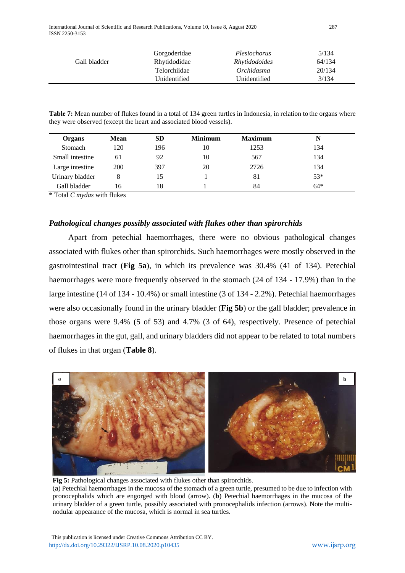International Journal of Scientific and Research Publications, Volume 10, Issue 8, August 2020 287 ISSN 2250-3153

|              | Gorgoderidae | Plesiochorus         | 5/134  |
|--------------|--------------|----------------------|--------|
| Gall bladder | Rhytidodidae | <i>Rhytidodoides</i> | 64/134 |
|              | Telorchiidae | <i>Orchidasma</i>    | 20/134 |
|              | Unidentified | Unidentified         | 3/134  |

**Table 7:** Mean number of flukes found in a total of 134 green turtles in Indonesia, in relation to the organs where they were observed (except the heart and associated blood vessels).

| Organs          | <b>Mean</b> | SD  | <b>Minimum</b> | <b>Maximum</b> | N     |
|-----------------|-------------|-----|----------------|----------------|-------|
| Stomach         | 120         | 196 | 10             | 1253           | 134   |
| Small intestine | 61          | 92  | 10             | 567            | 134   |
| Large intestine | 200         | 397 | 20             | 2726           | 134   |
| Urinary bladder |             |     |                | 81             | $53*$ |
| Gall bladder    | 16          | 18  |                | 84             | $64*$ |

\* Total *C mydas* with flukes

#### *Pathological changes possibly associated with flukes other than spirorchids*

Apart from petechial haemorrhages, there were no obvious pathological changes associated with flukes other than spirorchids. Such haemorrhages were mostly observed in the gastrointestinal tract (**Fig 5a**), in which its prevalence was 30.4% (41 of 134). Petechial haemorrhages were more frequently observed in the stomach (24 of 134 - 17.9%) than in the large intestine (14 of 134 - 10.4%) or small intestine (3 of 134 - 2.2%). Petechial haemorrhages were also occasionally found in the urinary bladder (**Fig 5b**) or the gall bladder; prevalence in those organs were 9.4% (5 of 53) and 4.7% (3 of 64), respectively. Presence of petechial haemorrhages in the gut, gall, and urinary bladders did not appear to be related to total numbers of flukes in that organ (**Table 8**).



**Fig 5:** Pathological changes associated with flukes other than spirorchids. (**a**) Petechial haemorrhages in the mucosa of the stomach of a green turtle, presumed to be due to infection with pronocephalids which are engorged with blood (arrow). (**b**) Petechial haemorrhages in the mucosa of the urinary bladder of a green turtle, possibly associated with pronocephalids infection (arrows). Note the multinodular appearance of the mucosa, which is normal in sea turtles.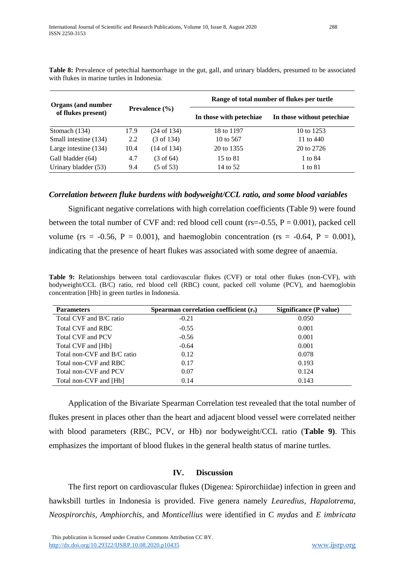| <b>Organs</b> (and number | <b>Prevalence</b> $(\% )$ |                        | Range of total number of flukes per turtle |                            |  |  |
|---------------------------|---------------------------|------------------------|--------------------------------------------|----------------------------|--|--|
| of flukes present)        |                           |                        | In those with petechiae                    | In those without petechiae |  |  |
| Stomach (134)             | 17.9                      | $(24 \text{ of } 134)$ | 18 to 1197                                 | 10 to 1253                 |  |  |
| Small intestine (134)     | 2.2                       | $(3 \text{ of } 134)$  | 10 to 567                                  | 11 to 440                  |  |  |
| Large intestine (134)     | 10.4                      | $(14 \text{ of } 134)$ | 20 to 1355                                 | 20 to 2726                 |  |  |
| Gall bladder (64)         | 4.7                       | $(3 \text{ of } 64)$   | 15 to 81                                   | 1 to 84                    |  |  |
| Urinary bladder (53)      | 9.4                       | $(5 \text{ of } 53)$   | 14 to 52                                   | 1 to 81                    |  |  |

**Table 8:** Prevalence of petechial haemorrhage in the gut, gall, and urinary bladders, presumed to be associated with flukes in marine turtles in Indonesia.

## *Correlation between fluke burdens with bodyweight/CCL ratio, and some blood variables*

Significant negative correlations with high correlation coefficients (Table 9) were found between the total number of CVF and: red blood cell count ( $rs = 0.55$ ,  $P = 0.001$ ), packed cell volume (rs =  $-0.56$ , P = 0.001), and haemoglobin concentration (rs =  $-0.64$ , P = 0.001). indicating that the presence of heart flukes was associated with some degree of anaemia.

**Table 9:** Relationships between total cardiovascular flukes (CVF) or total other flukes (non-CVF), with bodyweight/CCL (B/C) ratio, red blood cell (RBC) count, packed cell volume (PCV), and haemoglobin concentration [Hb] in green turtles in Indonesia.

| <b>Parameters</b>           | Spearman correlation coefficient $(r_s)$ | Significance (P value) |
|-----------------------------|------------------------------------------|------------------------|
| Total CVF and B/C ratio     | $-0.21$                                  | 0.050                  |
| Total CVF and RBC           | $-0.55$                                  | 0.001                  |
| Total CVF and PCV           | $-0.56$                                  | 0.001                  |
| Total CVF and [Hb]          | $-0.64$                                  | 0.001                  |
| Total non-CVF and B/C ratio | 0.12                                     | 0.078                  |
| Total non-CVF and RBC       | 0.17                                     | 0.193                  |
| Total non-CVF and PCV       | 0.07                                     | 0.124                  |
| Total non-CVF and [Hb]      | 0.14                                     | 0.143                  |

Application of the Bivariate Spearman Correlation test revealed that the total number of flukes present in places other than the heart and adjacent blood vessel were correlated neither with blood parameters (RBC, PCV, or Hb) nor bodyweight/CCL ratio (**Table 9)**. This emphasizes the important of blood flukes in the general health status of marine turtles.

## **IV. Discussion**

The first report on cardiovascular flukes (Digenea: Spirorchiidae) infection in green and hawksbill turtles in Indonesia is provided. Five genera namely *Learedius, Hapalotrema, Neospirorchis, Amphiorchis,* and *Monticellius* were identified in C *mydas* and *E imbricata*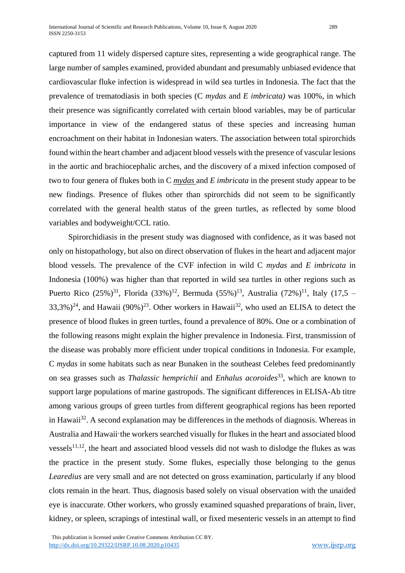captured from 11 widely dispersed capture sites, representing a wide geographical range. The large number of samples examined, provided abundant and presumably unbiased evidence that cardiovascular fluke infection is widespread in wild sea turtles in Indonesia. The fact that the prevalence of trematodiasis in both species (C *mydas* and *E imbricata)* was 100%, in which their presence was significantly correlated with certain blood variables, may be of particular importance in view of the endangered status of these species and increasing human encroachment on their habitat in Indonesian waters. The association between total spirorchids found within the heart chamber and adjacent blood vessels with the presence of vascular lesions in the aortic and brachiocephalic arches, and the discovery of a mixed infection composed of two to four genera of flukes both in C *mydas* and *E imbricata* in the present study appear to be new findings. Presence of flukes other than spirorchids did not seem to be significantly correlated with the general health status of the green turtles, as reflected by some blood variables and bodyweight/CCL ratio.

Spirorchidiasis in the present study was diagnosed with confidence, as it was based not only on histopathology, but also on direct observation of flukes in the heart and adjacent major blood vessels. The prevalence of the CVF infection in wild C *mydas* and *E imbricata* in Indonesia (100%) was higher than that reported in wild sea turtles in other regions such as Puerto Rico  $(25\%)^{31}$ , Florida  $(33\%)^{12}$ , Bermuda  $(55\%)^{13}$ , Australia  $(72\%)^{11}$ , Italy  $(17,5 (33,3\%)^{24}$ , and Hawaii  $(90\%)^{23}$ . Other workers in Hawaii<sup>32</sup>, who used an ELISA to detect the presence of blood flukes in green turtles, found a prevalence of 80%. One or a combination of the following reasons might explain the higher prevalence in Indonesia. First, transmission of the disease was probably more efficient under tropical conditions in Indonesia. For example, C *mydas* in some habitats such as near Bunaken in the southeast Celebes feed predominantly on sea grasses such as *Thalassic hemprichii* and *Enhalus acoroides*<sup>33</sup>, which are known to support large populations of marine gastropods. The significant differences in ELISA-Ab titre among various groups of green turtles from different geographical regions has been reported in Hawaii<sup>32</sup>. A second explanation may be differences in the methods of diagnosis. Whereas in Australia and Hawaii the workers searched visually for flukes in the heart and associated blood vessels<sup>11,12</sup>, the heart and associated blood vessels did not wash to dislodge the flukes as was the practice in the present study. Some flukes, especially those belonging to the genus *Learedius* are very small and are not detected on gross examination, particularly if any blood clots remain in the heart. Thus, diagnosis based solely on visual observation with the unaided eye is inaccurate. Other workers, who grossly examined squashed preparations of brain, liver, kidney, or spleen, scrapings of intestinal wall, or fixed mesenteric vessels in an attempt to find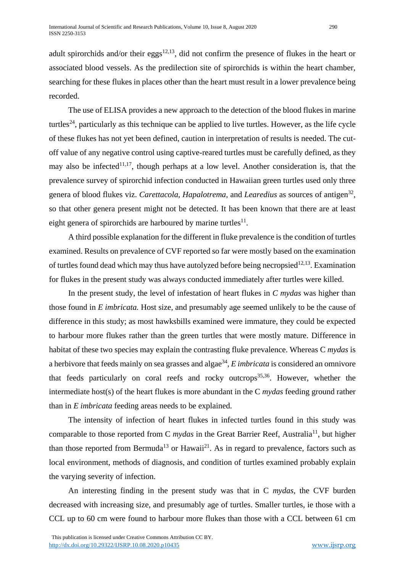adult spirorchids and/or their eggs<sup>12,13</sup>, did not confirm the presence of flukes in the heart or associated blood vessels. As the predilection site of spirorchids is within the heart chamber, searching for these flukes in places other than the heart must result in a lower prevalence being recorded.

The use of ELISA provides a new approach to the detection of the blood flukes in marine turtles<sup>24</sup>, particularly as this technique can be applied to live turtles. However, as the life cycle of these flukes has not yet been defined, caution in interpretation of results is needed. The cutoff value of any negative control using captive-reared turtles must be carefully defined, as they may also be infected<sup>11,17</sup>, though perhaps at a low level. Another consideration is, that the prevalence survey of spirorchid infection conducted in Hawaiian green turtles used only three genera of blood flukes viz. *Carettacola, Hapalotrema,* and *Learedius* as sources of antigen<sup>32</sup>, so that other genera present might not be detected. It has been known that there are at least eight genera of spirorchids are harboured by marine turtles $^{11}$ .

A third possible explanation for the different in fluke prevalence is the condition of turtles examined. Results on prevalence of CVF reported so far were mostly based on the examination of turtles found dead which may thus have autolyzed before being necropsied<sup>12,13</sup>. Examination for flukes in the present study was always conducted immediately after turtles were killed.

In the present study, the level of infestation of heart flukes in *C mydas* was higher than those found in *E imbricata.* Host size, and presumably age seemed unlikely to be the cause of difference in this study; as most hawksbills examined were immature, they could be expected to harbour more flukes rather than the green turtles that were mostly mature. Difference in habitat of these two species may explain the contrasting fluke prevalence. Whereas C *mydas* is a herbivore that feeds mainly on sea grasses and algae<sup>34</sup>, *E imbricata* is considered an omnivore that feeds particularly on coral reefs and rocky outcrops $35,36$ . However, whether the intermediate host(s) of the heart flukes is more abundant in the C *mydas* feeding ground rather than in *E imbricata* feeding areas needs to be explained.

The intensity of infection of heart flukes in infected turtles found in this study was comparable to those reported from C *mydas* in the Great Barrier Reef, Australia<sup>11</sup>, but higher than those reported from Bermuda<sup>13</sup> or Hawaii<sup>21</sup>. As in regard to prevalence, factors such as local environment, methods of diagnosis, and condition of turtles examined probably explain the varying severity of infection.

An interesting finding in the present study was that in C *mydas,* the CVF burden decreased with increasing size, and presumably age of turtles. Smaller turtles, ie those with a CCL up to 60 cm were found to harbour more flukes than those with a CCL between 61 cm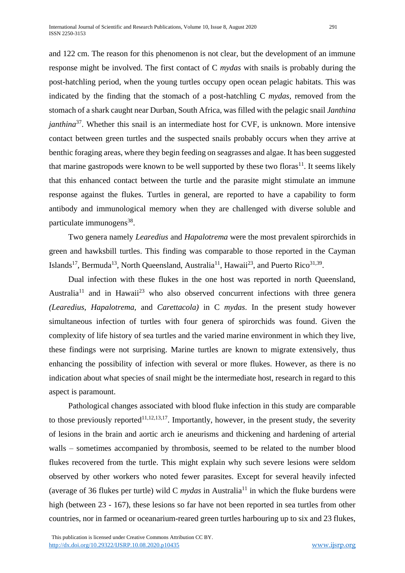and 122 cm. The reason for this phenomenon is not clear, but the development of an immune response might be involved. The first contact of C *mydas* with snails is probably during the post-hatchling period, when the young turtles occupy open ocean pelagic habitats. This was indicated by the finding that the stomach of a post-hatchling C *mydas,* removed from the stomach of a shark caught near Durban, South Africa, was filled with the pelagic snail *Janthina janthina*<sup>37</sup>. Whether this snail is an intermediate host for CVF, is unknown. More intensive contact between green turtles and the suspected snails probably occurs when they arrive at benthic foraging areas, where they begin feeding on seagrasses and algae. It has been suggested that marine gastropods were known to be well supported by these two floras $11$ . It seems likely that this enhanced contact between the turtle and the parasite might stimulate an immune response against the flukes. Turtles in general, are reported to have a capability to form antibody and immunological memory when they are challenged with diverse soluble and particulate immunogens<sup>38</sup>.

Two genera namely *Learedius* and *Hapalotrema* were the most prevalent spirorchids in green and hawksbill turtles. This finding was comparable to those reported in the Cayman Islands<sup>17</sup>, Bermuda<sup>13</sup>, North Queensland, Australia<sup>11</sup>, Hawaii<sup>23</sup>, and Puerto Rico<sup>31,39</sup>.

Dual infection with these flukes in the one host was reported in north Queensland, Australia<sup>11</sup> and in Hawaii<sup>23</sup> who also observed concurrent infections with three genera *(Learedius, Hapalotrema,* and *Carettacola)* in C *mydas*. In the present study however simultaneous infection of turtles with four genera of spirorchids was found. Given the complexity of life history of sea turtles and the varied marine environment in which they live, these findings were not surprising. Marine turtles are known to migrate extensively, thus enhancing the possibility of infection with several or more flukes. However, as there is no indication about what species of snail might be the intermediate host, research in regard to this aspect is paramount.

Pathological changes associated with blood fluke infection in this study are comparable to those previously reported<sup>11,12,13,17</sup>. Importantly, however, in the present study, the severity of lesions in the brain and aortic arch ie aneurisms and thickening and hardening of arterial walls – sometimes accompanied by thrombosis, seemed to be related to the number blood flukes recovered from the turtle. This might explain why such severe lesions were seldom observed by other workers who noted fewer parasites. Except for several heavily infected (average of 36 flukes per turtle) wild C  $mydas$  in Australia<sup>11</sup> in which the fluke burdens were high (between 23 - 167), these lesions so far have not been reported in sea turtles from other countries, nor in farmed or oceanarium-reared green turtles harbouring up to six and 23 flukes,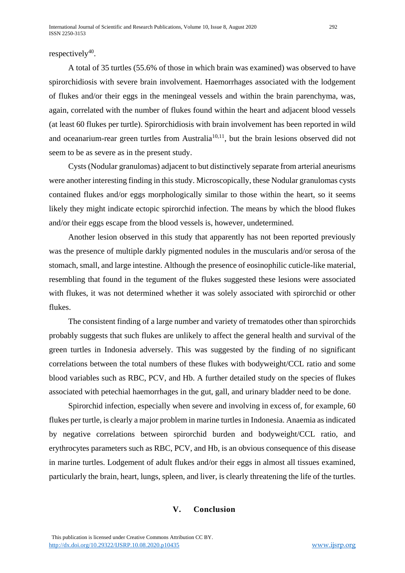## respectively $40$ .

A total of 35 turtles (55.6% of those in which brain was examined) was observed to have spirorchidiosis with severe brain involvement. Haemorrhages associated with the lodgement of flukes and/or their eggs in the meningeal vessels and within the brain parenchyma, was, again, correlated with the number of flukes found within the heart and adjacent blood vessels (at least 60 flukes per turtle). Spirorchidiosis with brain involvement has been reported in wild and oceanarium-rear green turtles from Australia<sup>10,11</sup>, but the brain lesions observed did not seem to be as severe as in the present study.

Cysts (Nodular granulomas) adjacent to but distinctively separate from arterial aneurisms were another interesting finding in this study. Microscopically, these Nodular granulomas cysts contained flukes and/or eggs morphologically similar to those within the heart, so it seems likely they might indicate ectopic spirorchid infection. The means by which the blood flukes and/or their eggs escape from the blood vessels is, however, undetermined.

Another lesion observed in this study that apparently has not been reported previously was the presence of multiple darkly pigmented nodules in the muscularis and/or serosa of the stomach, small, and large intestine. Although the presence of eosinophilic cuticle-like material, resembling that found in the tegument of the flukes suggested these lesions were associated with flukes, it was not determined whether it was solely associated with spirorchid or other flukes.

The consistent finding of a large number and variety of trematodes other than spirorchids probably suggests that such flukes are unlikely to affect the general health and survival of the green turtles in Indonesia adversely. This was suggested by the finding of no significant correlations between the total numbers of these flukes with bodyweight/CCL ratio and some blood variables such as RBC, PCV, and Hb. A further detailed study on the species of flukes associated with petechial haemorrhages in the gut, gall, and urinary bladder need to be done.

Spirorchid infection, especially when severe and involving in excess of, for example, 60 flukes per turtle, is clearly a major problem in marine turtles in Indonesia. Anaemia as indicated by negative correlations between spirorchid burden and bodyweight/CCL ratio, and erythrocytes parameters such as RBC, PCV, and Hb, is an obvious consequence of this disease in marine turtles. Lodgement of adult flukes and/or their eggs in almost all tissues examined, particularly the brain, heart, lungs, spleen, and liver, is clearly threatening the life of the turtles.

## **V. Conclusion**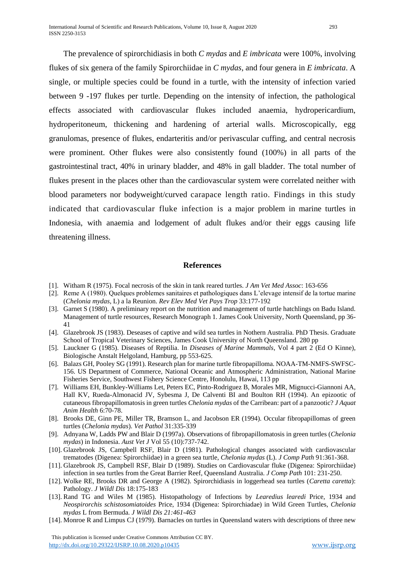The prevalence of spirorchidiasis in both *C mydas* and *E imbricata* were 100%, involving flukes of six genera of the family Spirorchiidae in *C mydas*, and four genera in *E imbricata*. A single, or multiple species could be found in a turtle, with the intensity of infection varied between 9 -197 flukes per turtle. Depending on the intensity of infection, the pathological effects associated with cardiovascular flukes included anaemia, hydropericardium, hydroperitoneum, thickening and hardening of arterial walls. Microscopically, egg granulomas, presence of flukes, endarteritis and/or perivascular cuffing, and central necrosis were prominent. Other flukes were also consistently found (100%) in all parts of the gastrointestinal tract, 40% in urinary bladder, and 48% in gall bladder. The total number of flukes present in the places other than the cardiovascular system were correlated neither with blood parameters nor bodyweight/curved carapace length ratio. Findings in this study indicated that cardiovascular fluke infection is a major problem in marine turtles in Indonesia, with anaemia and lodgement of adult flukes and/or their eggs causing life threatening illness.

#### **References**

- [1]. Witham R (1975). Focal necrosis of the skin in tank reared turtles. *J Am Vet Med Assoc*: 163-656
- [2]. Reme A (1980). Quelques problemes sanitaires et pathologiques dans L'elevage intensif de la tortue marine (*Chelonia mydas*, L) a la Reunion. *Rev Elev Med Vet Pays Trop* 33:177-192
- [3]. Garnet S (1980). A preliminary report on the nutrition and management of turtle hatchlings on Badu Island. Management of turtle resources, Research Monograph 1. James Cook University, North Queensland, pp 36- 41
- [4]. Glazebrook JS (1983). Deseases of captive and wild sea turtles in Nothern Australia. PhD Thesis. Graduate School of Tropical Veterinary Sciences, James Cook University of North Queensland. 280 pp
- [5]. Lauckner G (1985). Diseases of Reptilia. In *Diseases of Marine Mammals*, Vol 4 part 2 (Ed O Kinne), Biologische Anstalt Helgoland, Hamburg, pp 553-625.
- [6]. Balazs GH, Pooley SG (1991). Research plan for marine turtle fibropapilloma. NOAA-TM-NMFS-SWFSC-156. US Department of Commerce, National Oceanic and Atmospheric Administration, National Marine Fisheries Service, Southwest Fishery Science Centre, Honolulu, Hawai, 113 pp
- [7]. Williams EH, Bunkley-Williams Let, Peters EC, Pinto-Rodriguez B, Morales MR, Mignucci-Giannoni AA, Hall KV, Rueda-Almonacid JV, Sybesma J, De Calventi BI and Boulton RH (1994). An epizootic of cutaneous fibropapillomatosis in green turtles *Chelonia mydas* of the Carribean: part of a panzootic? *J Aquat Anim Health* 6:70-78.
- [8]. Brooks DE, Ginn PE, Miller TR, Bramson L, and Jacobson ER (1994). Occular fibropapillomas of green turtles (*Chelonia mydas*). *Vet Pathol* 31:335-339
- [9]. Adnyana W, Ladds PW and Blair D (1997a). Observations of fibropapillomatosis in green turtles (*Chelonia mydas*) in Indonesia. *Aust Vet J* Vol 55 (10):737-742.
- [10]. Glazebrook JS, Campbell RSF, Blair D (1981). Pathological changes associated with cardiovascular trematodes (Digenea: Spirorchiidae) in a green sea turtle, *Chelonia mydas* (L). *J Comp Path* 91:361-368.
- [11]. Glazebrook JS, Campbell RSF, Blair D (1989). Studies on Cardiovascular fluke (Digenea: Spirorchiidae) infection in sea turtles from the Great Barrier Reef, Queensland Australia. *J Comp Path* 101: 231-250.
- [12]. Wolke RE, Brooks DR and George A (1982). Spirorchidiasis in loggerhead sea turtles (*Caretta caretta*): Pathology. *J Wildl Dis* 18:175-183
- [13]. Rand TG and Wiles M (1985). Histopathology of Infections by *Learedius learedi* Price, 1934 and *Neospirorchis schistosomiatoides* Price, 1934 (Digenea: Spirorchiadae) in Wild Green Turtles, *Chelonia mydas* L from Bermuda. *J Wildl Dis 21:461-463*
- [14]. Monroe R and Limpus CJ (1979). Barnacles on turtles in Queensland waters with descriptions of three new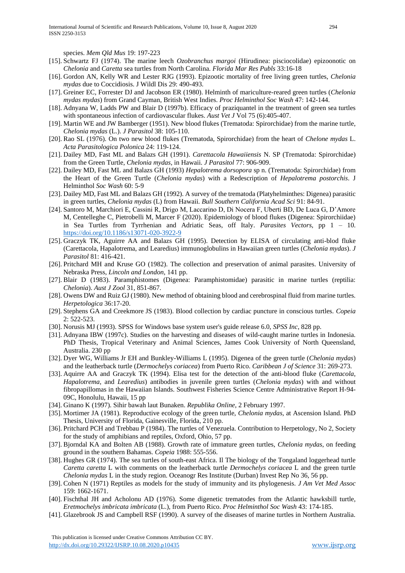species. *Mem Qld Mus* 19: 197-223

- [15]. Schwartz FJ (1974). The marine leech *Ozobranchus margoi* (Hirudinea: pisciocolidae) epizoonotic on *Chelonia* and *Caretta* sea turtles from North Carolina. *Florida Mar Res Publs* 33:16-18
- [16]. Gordon AN, Kelly WR and Lester RJG (1993). Epizootic mortality of free living green turtles, *Chelonia mydas* due to Coccidiosis. J Wildl Dis 29: 490-493.
- [17]. Greiner EC, Forrester DJ and Jacobson ER (1980). Helminth of mariculture-reared green turtles (*Chelonia mydas mydas*) from Grand Cayman, British West Indies. *Proc Helminthol Soc Wash* 47: 142-144.
- [18]. Adnyana W, Ladds PW and Blair D (1997b). Efficacy of praziquantel in the treatment of green sea turtles with spontaneous infection of cardiovascular flukes. *Aust Vet J* Vol 75 (6):405-407.
- [19]. Martin WE and JW Bamberger (1951). New blood flukes (Trematoda: Spirorchidae) from the marine turtle, *Chelonia mydas* (L.). *J Parasitol* 38: 105-110.
- [20]. Rao SL (1976). On two new blood flukes (Trematoda, Spirorchidae) from the heart of *Chelone mydas* L. *Acta Parasitologica Polonica* 24: 119-124.
- [21]. Dailey MD, Fast ML and Balazs GH (1991). *Carettacola Hawaiiensis* N. SP (Trematoda: Spirorchidae) from the Green Turtle, *Chelonia mydas*, in Hawaii. *J Parasitol* 77: 906-909.
- [22]. Dailey MD, Fast ML and Balazs GH (1993) *Hepalotrema dorsopora* sp n. (Trematoda: Spirorchidae) from the Heart of the Green Turtle (*Chelonia mydas*) with a Redescription of *Hepalotrema postorchis*. J Helminthol *Soc Wash* 60: 5-9
- [23]. Dailey MD, Fast ML and Balazs GH (1992). A survey of the trematoda (Platyhelminthes: Digenea) parasitic in green turtles, *Chelonia mydas* (L) from Hawaii. *Bull Southern California Acad Sci* 91: 84-91.
- [24]. Santoro M, Marchiori E, Cassini R, Drigo M, Laccarino D, Di Nocera F, Uberti BD, De Luca G, D'Amore M, Centelleghe C, Pietrobelli M, Marcer F (2020). Epidemiology of blood flukes (Digenea: Spirorchiidae) in Sea Turtles from Tyrrhenian and Adriatic Seas, off Italy. *Parasites Vectors*, pp 1 – 10. <https://doi.org/10.1186/s13071-020-3922-9>
- [25]. Graczyk TK, Aguirre AA and Balazs GH (1995). Detection by ELISA of circulating anti-blod fluke (Carettacola, Hapalotrema, and Learedius) immunoglobulins in Hawaiian green turtles (*Chelonia mydas*). *J Parasitol* 81: 416-421.
- [26]. Pritchard MH and Kruse GO (1982). The collection and preservation of animal parasites. University of Nebraska Press, *Lincoln and London*, 141 pp.
- [27]. Blair D (1983). Paramphistomes (Digenea: Paramphistomidae) parasitic in marine turtles (reptilia: *Chelonia*). *Aust J Zool* 31, 851-867.
- [28]. Owens DW and Ruiz GJ (1980). New method of obtaining blood and cerebrospinal fluid from marine turtles. *Herpetologica* 36:17-20.
- [29]. Stephens GA and Creekmore JS (1983). Blood collection by cardiac puncture in conscious turtles. *Copeia* 2: 522-523.
- [30]. Norusis MJ (1993). SPSS for Windows base system user's guide release 6.0, *SPSS Inc*, 828 pp.
- [31]. Adnyana IBW (1997c). Studies on the harvesting and diseases of wild-caught marine turtles in Indonesia. PhD Thesis, Tropical Veterinary and Animal Sciences, James Cook University of North Queensland, Australia. 230 pp
- [32]. Dyer WG, Williams Jr EH and Bunkley-Williams L (1995). Digenea of the green turtle (*Chelonia mydas*) and the leatherback turtle (*Dermochelys coriacea*) from Puerto Rico. *Caribbean J of Science* 31: 269-273.
- [33]. Aquirre AA and Graczyk TK (1994). Elisa test for the detection of the anti-blood fluke (*Carettacola*, *Hapalotrema*, and *Learedius*) antibodies in juvenile green turtles (*Chelonia mydas*) with and without fibropapillomas in the Hawaiian Islands. Southwest Fisheries Science Centre Administrative Report H-94- 09C, Honolulu, Hawaii, 15 pp
- [34]. Ginano K (1997). Sihir bawah laut Bunaken. *Republika Online*, 2 February 1997.
- [35]. Mortimer JA (1981). Reproductive ecology of the green turtle, *Chelonia mydas*, at Ascension Island. PhD Thesis, University of Florida, Gainesville, Florida, 210 pp.
- [36]. Pritchard PCH and Trebbau P (1984). The turtles of Venezuela. Contribution to Herpetology, No 2, Society for the study of amphibians and reptiles, Oxford, Ohio, 57 pp.
- [37]. Bjorndal KA and Bolten AB (1988). Growth rate of immature green turtles, *Chelonia mydas*, on feeding ground in the southern Bahamas. *Copeia* 1988: 555-556.
- [38]. Hughes GR (1974). The sea turtles of south-east Africa. Il The biology of the Tongaland loggerhead turtle *Caretta caretta* L with comments on the leatherback turtle *Dermochelys coriacea* L and the green turtle *Chelonia mydas* L in the study region. Oceanogr Res Institute (Durban) Invest Rep No 36, 56 pp.
- [39]. Cohen N (1971) Reptiles as models for the study of immunity and its phylogenesis. *J Am Vet Med Assoc* 159: 1662-1671.
- [40]. Fischthal JH and Acholonu AD (1976). Some digenetic trematodes from the Atlantic hawksbill turtle, *Eretmochelys imbricata imbricata* (L.), from Puerto Rico. *Proc Helminthol Soc Wash* 43: 174-185.
- [41]. Glazebrook JS and Campbell RSF (1990). A survey of the diseases of marine turtles in Northern Australia.